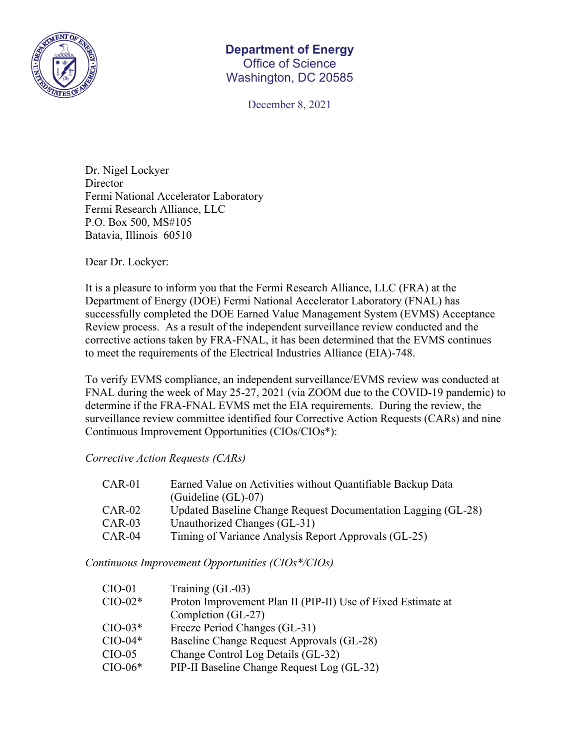

## **Department of Energy**  Office of Science Washington, DC 20585

December 8, 2021

Dr. Nigel Lockyer **Director** Fermi National Accelerator Laboratory Fermi Research Alliance, LLC P.O. Box 500, MS#105 Batavia, Illinois 60510

Dear Dr. Lockyer:

It is a pleasure to inform you that the Fermi Research Alliance, LLC (FRA) at the Department of Energy (DOE) Fermi National Accelerator Laboratory (FNAL) has successfully completed the DOE Earned Value Management System (EVMS) Acceptance Review process. As a result of the independent surveillance review conducted and the corrective actions taken by FRA-FNAL, it has been determined that the EVMS continues to meet the requirements of the Electrical Industries Alliance (EIA)-748.

To verify EVMS compliance, an independent surveillance/EVMS review was conducted at FNAL during the week of May 25-27, 2021 (via ZOOM due to the COVID-19 pandemic) to determine if the FRA-FNAL EVMS met the EIA requirements. During the review, the surveillance review committee identified four Corrective Action Requests (CARs) and nine Continuous Improvement Opportunities (CIOs/CIOs\*):

*Corrective Action Requests (CARs)* 

| $CAR-01$ | Earned Value on Activities without Quantifiable Backup Data   |
|----------|---------------------------------------------------------------|
|          | $(Guideline(GL)-07)$                                          |
| $CAR-02$ | Updated Baseline Change Request Documentation Lagging (GL-28) |
| $CAR-03$ | Unauthorized Changes (GL-31)                                  |
| $CAR-04$ | Timing of Variance Analysis Report Approvals (GL-25)          |

*Continuous Improvement Opportunities (CIOs\*/CIOs)* 

| $CIO-01$  | Training (GL-03)                                             |
|-----------|--------------------------------------------------------------|
| $CIO-02*$ | Proton Improvement Plan II (PIP-II) Use of Fixed Estimate at |
|           | Completion (GL-27)                                           |
| $CIO-03*$ | Freeze Period Changes (GL-31)                                |
| $CIO-04*$ | Baseline Change Request Approvals (GL-28)                    |
| $CIO-05$  | Change Control Log Details (GL-32)                           |
| $CIO-06*$ | PIP-II Baseline Change Request Log (GL-32)                   |
|           |                                                              |